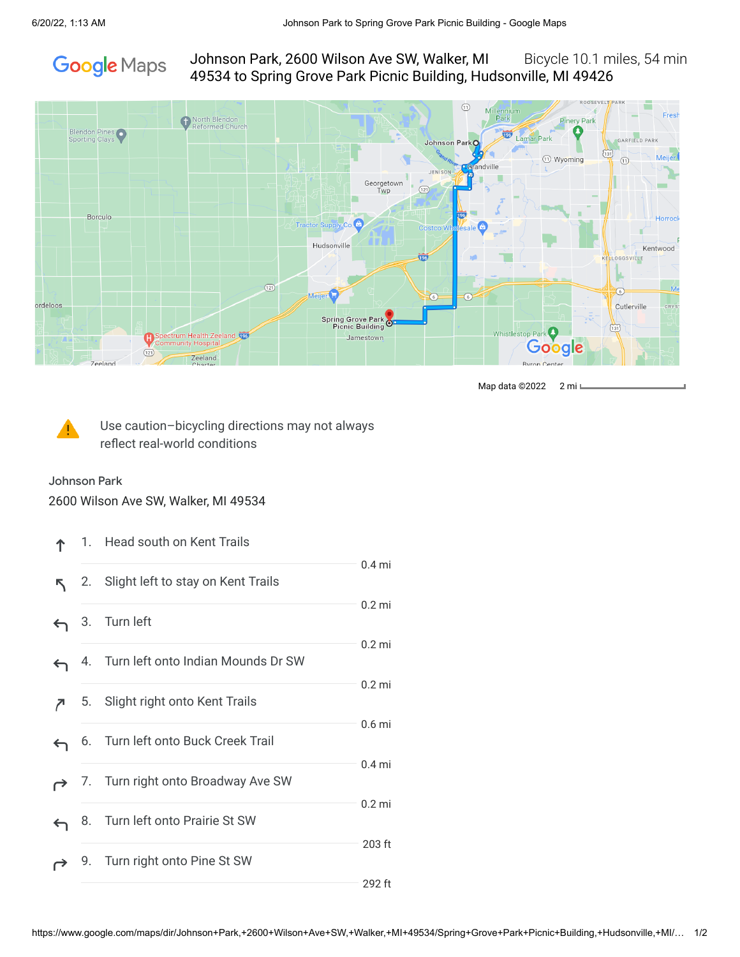

Johnson Park, 2600 Wilson Ave SW, Walker, MI Bicycle 10.1 miles, 54 min 49534 to Spring Grove Park Picnic Building, Hudsonville, MI 49426



Map data ©2022 2 mi



Use caution–bicycling directions may not always reflect real-world conditions

Johnson Park 2600 Wilson Ave SW, Walker, MI 49534

|   |    | 1. Head south on Kent Trails          |                   |
|---|----|---------------------------------------|-------------------|
| ↖ | 2. | Slight left to stay on Kent Trails    | 0.4 <sub>mi</sub> |
| ← |    | 3. Turn left                          | $0.2$ mi          |
| ← |    | 4. Turn left onto Indian Mounds Dr SW | $0.2$ mi          |
|   | 5. | Slight right onto Kent Trails         | $0.2$ mi          |
| ← | 6. | Turn left onto Buck Creek Trail       | 0.6 <sub>mi</sub> |
|   |    | 7. Turn right onto Broadway Ave SW    | $0.4$ mi          |
| ↽ | 8. | Turn left onto Prairie St SW          | $0.2$ mi          |
|   | 9. | Turn right onto Pine St SW            | 203 ft            |
|   |    |                                       | 292 ft            |